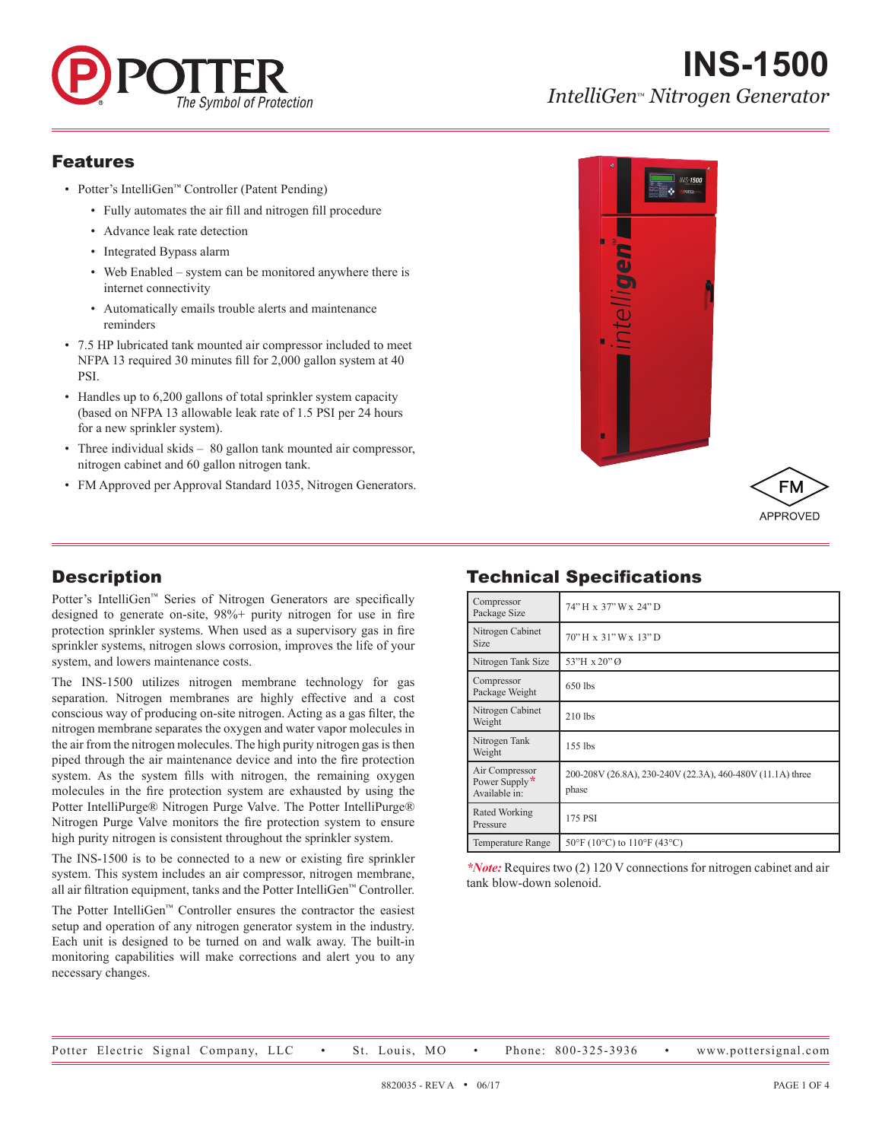

# **INS-1500** *IntelliGen*™ *Nitrogen Generator*

#### Features

- Potter's IntelliGen™ Controller (Patent Pending)
	- Fully automates the air fill and nitrogen fill procedure
	- Advance leak rate detection
	- Integrated Bypass alarm
	- Web Enabled system can be monitored anywhere there is internet connectivity
	- Automatically emails trouble alerts and maintenance reminders
- 7.5 HP lubricated tank mounted air compressor included to meet NFPA 13 required 30 minutes fill for 2,000 gallon system at 40 PSI.
- Handles up to 6,200 gallons of total sprinkler system capacity (based on NFPA 13 allowable leak rate of 1.5 PSI per 24 hours for a new sprinkler system).
- Three individual skids 80 gallon tank mounted air compressor, nitrogen cabinet and 60 gallon nitrogen tank.
- FM Approved per Approval Standard 1035, Nitrogen Generators.

# **Description**

Potter's IntelliGen™ Series of Nitrogen Generators are specifically designed to generate on-site, 98%+ purity nitrogen for use in fire protection sprinkler systems. When used as a supervisory gas in fire sprinkler systems, nitrogen slows corrosion, improves the life of your system, and lowers maintenance costs.

The INS-1500 utilizes nitrogen membrane technology for gas separation. Nitrogen membranes are highly effective and a cost conscious way of producing on-site nitrogen. Acting as a gas filter, the nitrogen membrane separates the oxygen and water vapor molecules in the air from the nitrogen molecules. The high purity nitrogen gas is then piped through the air maintenance device and into the fire protection system. As the system fills with nitrogen, the remaining oxygen molecules in the fire protection system are exhausted by using the Potter IntelliPurge® Nitrogen Purge Valve. The Potter IntelliPurge® Nitrogen Purge Valve monitors the fire protection system to ensure high purity nitrogen is consistent throughout the sprinkler system.

The INS-1500 is to be connected to a new or existing fire sprinkler system. This system includes an air compressor, nitrogen membrane, all air filtration equipment, tanks and the Potter IntelliGen™ Controller.

The Potter IntelliGen™ Controller ensures the contractor the easiest setup and operation of any nitrogen generator system in the industry. Each unit is designed to be turned on and walk away. The built-in monitoring capabilities will make corrections and alert you to any necessary changes.

# Technical Specifications

| Compressor<br>Package Size                       | 74" H x 37" W x 24" D                                               |  |
|--------------------------------------------------|---------------------------------------------------------------------|--|
| Nitrogen Cabinet<br><b>Size</b>                  | 70" H x 31" W x 13" D                                               |  |
| Nitrogen Tank Size                               | 53"H x 20" Ø                                                        |  |
| Compressor<br>Package Weight                     | 650 lbs                                                             |  |
| Nitrogen Cabinet<br>Weight                       | $210$ lbs                                                           |  |
| Nitrogen Tank<br>Weight                          | $155$ lbs                                                           |  |
| Air Compressor<br>Power Supply*<br>Available in: | 200-208V (26.8A), 230-240V (22.3A), 460-480V (11.1A) three<br>phase |  |
| Rated Working<br>Pressure                        | 175 PSI                                                             |  |
| <b>Temperature Range</b>                         | $50^{\circ}$ F (10°C) to 110°F (43°C)                               |  |

*\*Note:* Requires two (2) 120 V connections for nitrogen cabinet and air tank blow-down solenoid.

APPROVED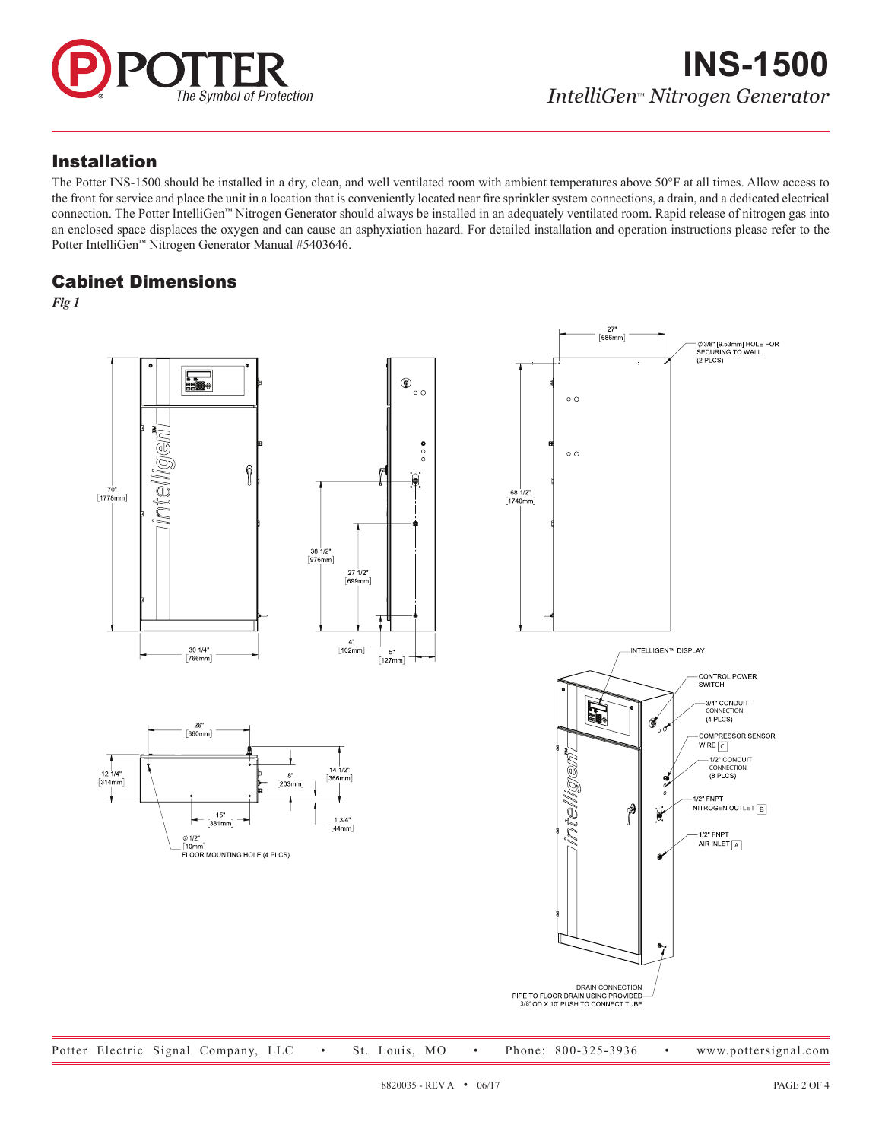

#### Installation

The Potter INS-1500 should be installed in a dry, clean, and well ventilated room with ambient temperatures above 50°F at all times. Allow access to the front for service and place the unit in a location that is conveniently located near fire sprinkler system connections, a drain, and a dedicated electrical connection. The Potter IntelliGen™ Nitrogen Generator should always be installed in an adequately ventilated room. Rapid release of nitrogen gas into an enclosed space displaces the oxygen and can cause an asphyxiation hazard. For detailed installation and operation instructions please refer to the Potter IntelliGen™ Nitrogen Generator Manual #5403646.

#### Cabinet Dimensions

*Fig 1*

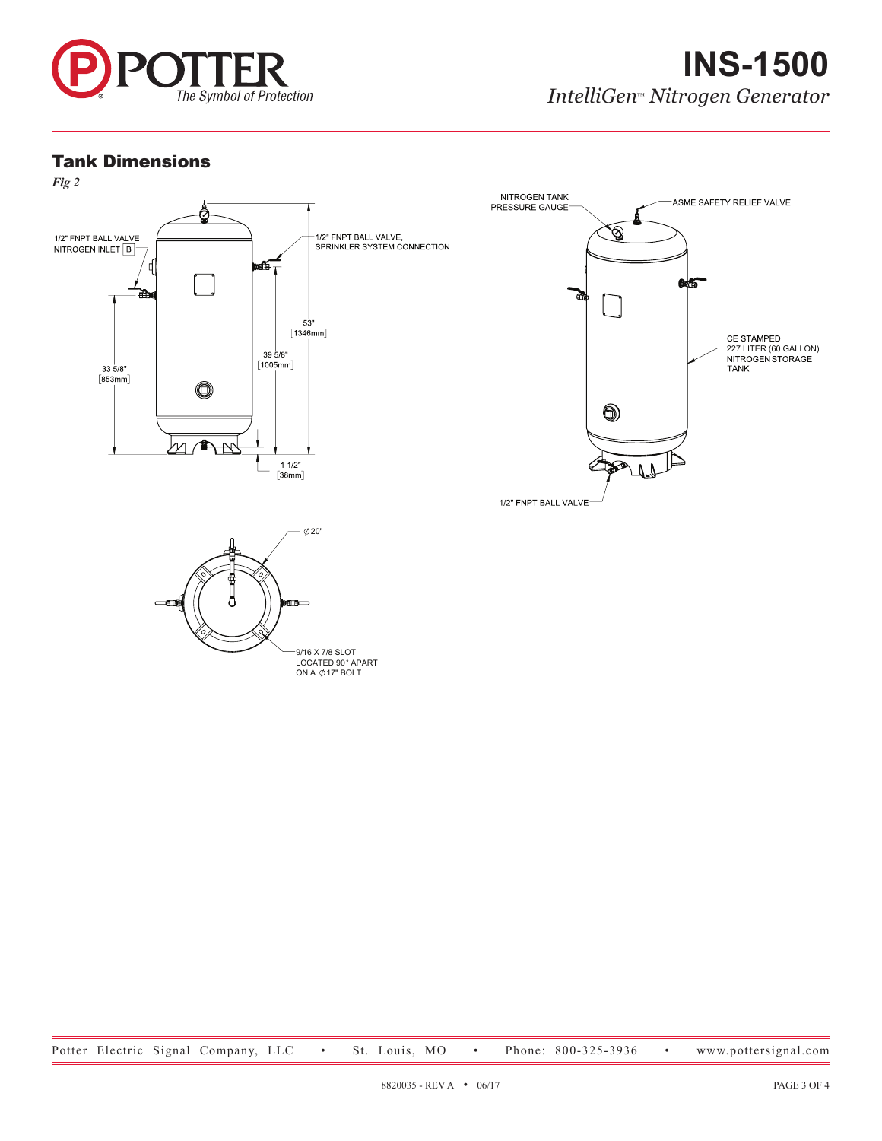

#### Tank Dimensions



9/16 X 7/8 SLOT<br>LOCATED 90° APART<br>ON A ⊘17" BOLT

Potter Electric Signal Company, LLC • St. Louis, MO • Phone: 800-325-3936 • www.pottersignal.com